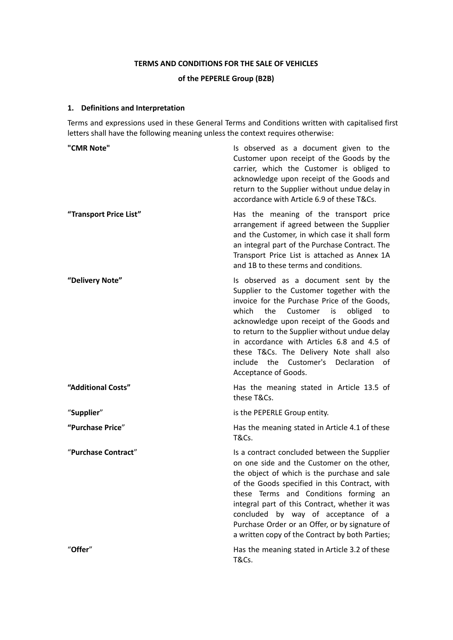# **TERMS AND CONDITIONS FOR THE SALE OF VEHICLES of the PEPERLE Group (B2B)**

## **1. Definitions and Interpretation**

Terms and expressions used in these General Terms and Conditions written with capitalised first letters shall have the following meaning unless the context requires otherwise:

| "CMR Note"             | Is observed as a document given to the<br>Customer upon receipt of the Goods by the<br>carrier, which the Customer is obliged to<br>acknowledge upon receipt of the Goods and<br>return to the Supplier without undue delay in<br>accordance with Article 6.9 of these T&Cs.                                                                                                                                                                 |
|------------------------|----------------------------------------------------------------------------------------------------------------------------------------------------------------------------------------------------------------------------------------------------------------------------------------------------------------------------------------------------------------------------------------------------------------------------------------------|
| "Transport Price List" | Has the meaning of the transport price<br>arrangement if agreed between the Supplier<br>and the Customer, in which case it shall form<br>an integral part of the Purchase Contract. The<br>Transport Price List is attached as Annex 1A<br>and 1B to these terms and conditions.                                                                                                                                                             |
| "Delivery Note"        | Is observed as a document sent by the<br>Supplier to the Customer together with the<br>invoice for the Purchase Price of the Goods,<br>which<br>the<br>Customer is<br>obliged<br>to<br>acknowledge upon receipt of the Goods and<br>to return to the Supplier without undue delay<br>in accordance with Articles 6.8 and 4.5 of<br>these T&Cs. The Delivery Note shall also<br>include the Customer's Declaration of<br>Acceptance of Goods. |
| "Additional Costs"     | Has the meaning stated in Article 13.5 of<br>these T&Cs.                                                                                                                                                                                                                                                                                                                                                                                     |
| "Supplier"             | is the PEPERLE Group entity.                                                                                                                                                                                                                                                                                                                                                                                                                 |
| "Purchase Price"       | Has the meaning stated in Article 4.1 of these<br><b>T&amp;Cs.</b>                                                                                                                                                                                                                                                                                                                                                                           |
| "Purchase Contract"    | Is a contract concluded between the Supplier<br>on one side and the Customer on the other,<br>the object of which is the purchase and sale<br>of the Goods specified in this Contract, with<br>these Terms and Conditions forming an<br>integral part of this Contract, whether it was<br>concluded by way of acceptance of a<br>Purchase Order or an Offer, or by signature of<br>a written copy of the Contract by both Parties;           |
| "Offer"                | Has the meaning stated in Article 3.2 of these<br>T&Cs.                                                                                                                                                                                                                                                                                                                                                                                      |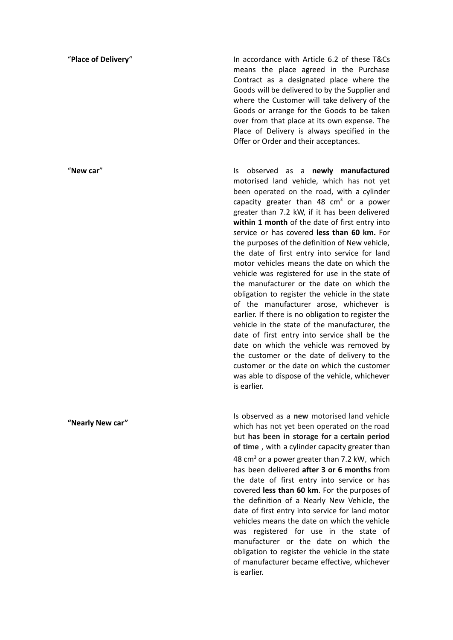"**New car**"

**"Nearly New car"**

"**Place of Delivery**" In accordance with Article 6.2 of these T&Cs means the place agreed in the Purchase Contract as a designated place where the Goods will be delivered to by the Supplier and where the Customer will take delivery of the Goods or arrange for the Goods to be taken over from that place at its own expense. The Place of Delivery is always specified in the Offer or Order and their acceptances.

> Is observed as a **newly manufactured** motorised land vehicle, which has not yet been operated on the road, with a cylinder capacity greater than 48  $cm<sup>3</sup>$  or a power greater than 7.2 kW, if it has been delivered **within 1 month** of the date of first entry into service or has covered **less than 60 km.** For the purposes of the definition of New vehicle, the date of first entry into service for land motor vehicles means the date on which the vehicle was registered for use in the state of the manufacturer or the date on which the obligation to register the vehicle in the state of the manufacturer arose, whichever is earlier. If there is no obligation to register the vehicle in the state of the manufacturer, the date of first entry into service shall be the date on which the vehicle was removed by the customer or the date of delivery to the customer or the date on which the customer was able to dispose of the vehicle, whichever is earlier.

> Is observed as a **new** motorised land vehicle which has not yet been operated on the road but **has been in storage for a certain period of time** , with a cylinder capacity greater than 48  $cm<sup>3</sup>$  or a power greater than 7.2 kW, which has been delivered **after 3 or 6 months** from the date of first entry into service or has covered **less than 60 km**. For the purposes of the definition of a Nearly New Vehicle, the date of first entry into service for land motor vehicles means the date on which the vehicle was registered for use in the state of manufacturer or the date on which the obligation to register the vehicle in the state of manufacturer became effective, whichever is earlier.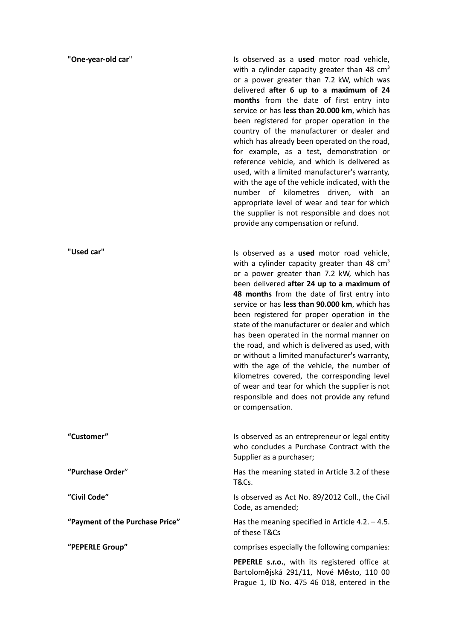#### **"One-year-old car**"

**"Used car"**

Is observed as a **used** motor road vehicle, with a cylinder capacity greater than 48  $\text{cm}^3$ or a power greater than 7.2 kW, which was delivered **after 6 up to a maximum of 24 months** from the date of first entry into service or has **less than 20.000 km**, which has been registered for proper operation in the country of the manufacturer or dealer and which has already been operated on the road, for example, as a test, demonstration or reference vehicle, and which is delivered as used, with a limited manufacturer's warranty, with the age of the vehicle indicated, with the number of kilometres driven, with an appropriate level of wear and tear for which the supplier is not responsible and does not provide any compensation or refund.

Is observed as a **used** motor road vehicle, with a cylinder capacity greater than 48  $cm<sup>3</sup>$ or a power greater than 7.2 kW, which has been delivered **after 24 up to a maximum of 48 months** from the date of first entry into service or has **less than 90.000 km**, which has been registered for proper operation in the state of the manufacturer or dealer and which has been operated in the normal manner on the road, and which is delivered as used, with or without a limited manufacturer's warranty, with the age of the vehicle, the number of kilometres covered, the corresponding level of wear and tear for which the supplier is not responsible and does not provide any refund or compensation.

**"Customer"** Is observed as an entrepreneur or legal entity who concludes a Purchase Contract with the Supplier as a purchaser;

**"Purchase Order**" Has the meaning stated in Article 3.2 of these T&Cs.

**"Civil Code"** Is observed as Act No. 89/2012 Coll., the Civil Code, as amended;

**"Payment of the Purchase Price"** Has the meaning specified in Article 4.2. – 4.5. of these T&Cs

**"PEPERLE Group"** comprises especially the following companies:

**PEPERLE s.r.o.**, with its registered office at Bartolomějská 291/11, Nové Město, 110 00 Prague 1, ID No. 475 46 018, entered in the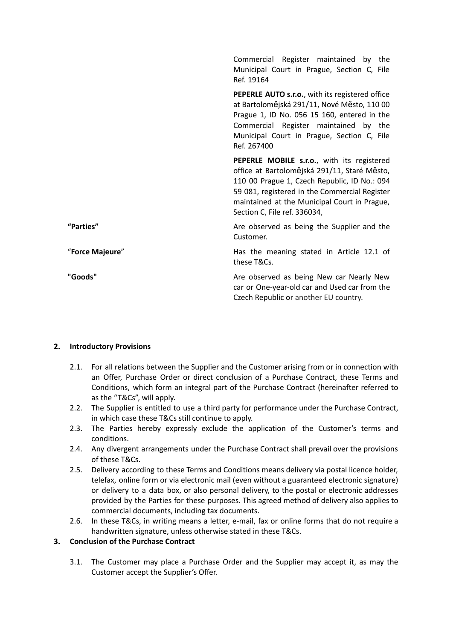|                 | Commercial Register maintained by the<br>Municipal Court in Prague, Section C, File<br>Ref. 19164                                                                                                                                                                           |
|-----------------|-----------------------------------------------------------------------------------------------------------------------------------------------------------------------------------------------------------------------------------------------------------------------------|
|                 | <b>PEPERLE AUTO s.r.o.</b> , with its registered office<br>at Bartolomějská 291/11, Nové Město, 110 00<br>Prague 1, ID No. 056 15 160, entered in the<br>Commercial Register maintained by the<br>Municipal Court in Prague, Section C, File<br>Ref. 267400                 |
|                 | PEPERLE MOBILE s.r.o., with its registered<br>office at Bartolomějská 291/11, Staré Město,<br>110 00 Prague 1, Czech Republic, ID No.: 094<br>59 081, registered in the Commercial Register<br>maintained at the Municipal Court in Prague,<br>Section C, File ref. 336034, |
| "Parties"       | Are observed as being the Supplier and the<br>Customer.                                                                                                                                                                                                                     |
| "Force Majeure" | Has the meaning stated in Article 12.1 of<br>these T&Cs.                                                                                                                                                                                                                    |
| "Goods"         | Are observed as being New car Nearly New<br>car or One-year-old car and Used car from the<br>Czech Republic or another EU country.                                                                                                                                          |

#### **2. Introductory Provisions**

- 2.1. For all relations between the Supplier and the Customer arising from or in connection with an Offer, Purchase Order or direct conclusion of a Purchase Contract, these Terms and Conditions, which form an integral part of the Purchase Contract (hereinafter referred to as the "T&Cs", will apply.
- 2.2. The Supplier is entitled to use a third party for performance under the Purchase Contract, in which case these T&Cs still continue to apply.
- 2.3. The Parties hereby expressly exclude the application of the Customer's terms and conditions.
- 2.4. Any divergent arrangements under the Purchase Contract shall prevail over the provisions of these T&Cs.
- 2.5. Delivery according to these Terms and Conditions means delivery via postal licence holder, telefax, online form or via electronic mail (even without a guaranteed electronic signature) or delivery to a data box, or also personal delivery, to the postal or electronic addresses provided by the Parties for these purposes. This agreed method of delivery also applies to commercial documents, including tax documents.
- 2.6. In these T&Cs, in writing means a letter, e-mail, fax or online forms that do not require a handwritten signature, unless otherwise stated in these T&Cs.

### **3. Conclusion of the Purchase Contract**

3.1. The Customer may place a Purchase Order and the Supplier may accept it, as may the Customer accept the Supplier's Offer.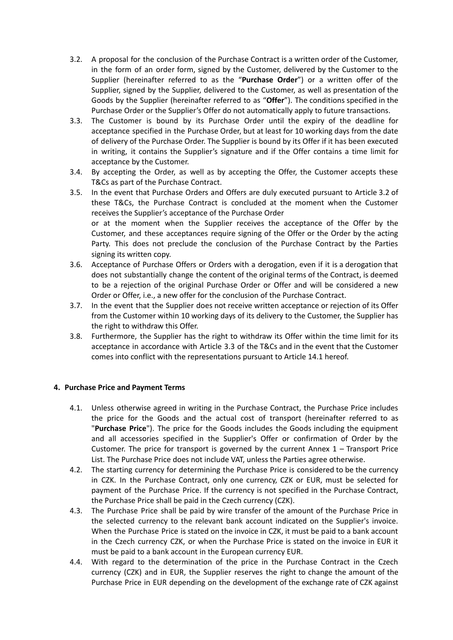- 3.2. A proposal for the conclusion of the Purchase Contract is a written order of the Customer, in the form of an order form, signed by the Customer, delivered by the Customer to the Supplier (hereinafter referred to as the "**Purchase Order**") or a written offer of the Supplier, signed by the Supplier, delivered to the Customer, as well as presentation of the Goods by the Supplier (hereinafter referred to as "**Offer**"). The conditions specified in the Purchase Order or the Supplier's Offer do not automatically apply to future transactions.
- 3.3. The Customer is bound by its Purchase Order until the expiry of the deadline for acceptance specified in the Purchase Order, but at least for 10 working days from the date of delivery of the Purchase Order. The Supplier is bound by its Offer if it has been executed in writing, it contains the Supplier's signature and if the Offer contains a time limit for acceptance by the Customer.
- 3.4. By accepting the Order, as well as by accepting the Offer, the Customer accepts these T&Cs as part of the Purchase Contract.
- 3.5. In the event that Purchase Orders and Offers are duly executed pursuant to Article 3.2 of these T&Cs, the Purchase Contract is concluded at the moment when the Customer receives the Supplier's acceptance of the Purchase Order or at the moment when the Supplier receives the acceptance of the Offer by the Customer, and these acceptances require signing of the Offer or the Order by the acting Party. This does not preclude the conclusion of the Purchase Contract by the Parties signing its written copy.
- 3.6. Acceptance of Purchase Offers or Orders with a derogation, even if it is a derogation that does not substantially change the content of the original terms of the Contract, is deemed to be a rejection of the original Purchase Order or Offer and will be considered a new Order or Offer, i.e., a new offer for the conclusion of the Purchase Contract.
- 3.7. In the event that the Supplier does not receive written acceptance or rejection of its Offer from the Customer within 10 working days of its delivery to the Customer, the Supplier has the right to withdraw this Offer.
- 3.8. Furthermore, the Supplier has the right to withdraw its Offer within the time limit for its acceptance in accordance with Article 3.3 of the T&Cs and in the event that the Customer comes into conflict with the representations pursuant to Article 14.1 hereof.

#### **4. Purchase Price and Payment Terms**

- 4.1. Unless otherwise agreed in writing in the Purchase Contract, the Purchase Price includes the price for the Goods and the actual cost of transport (hereinafter referred to as "**Purchase Price**"). The price for the Goods includes the Goods including the equipment and all accessories specified in the Supplier's Offer or confirmation of Order by the Customer. The price for transport is governed by the current Annex  $1$  – Transport Price List. The Purchase Price does not include VAT, unless the Parties agree otherwise.
- 4.2. The starting currency for determining the Purchase Price is considered to be the currency in CZK. In the Purchase Contract, only one currency, CZK or EUR, must be selected for payment of the Purchase Price. If the currency is not specified in the Purchase Contract, the Purchase Price shall be paid in the Czech currency (CZK).
- 4.3. The Purchase Price shall be paid by wire transfer of the amount of the Purchase Price in the selected currency to the relevant bank account indicated on the Supplier's invoice. When the Purchase Price is stated on the invoice in CZK, it must be paid to a bank account in the Czech currency CZK, or when the Purchase Price is stated on the invoice in EUR it must be paid to a bank account in the European currency EUR.
- 4.4. With regard to the determination of the price in the Purchase Contract in the Czech currency (CZK) and in EUR, the Supplier reserves the right to change the amount of the Purchase Price in EUR depending on the development of the exchange rate of CZK against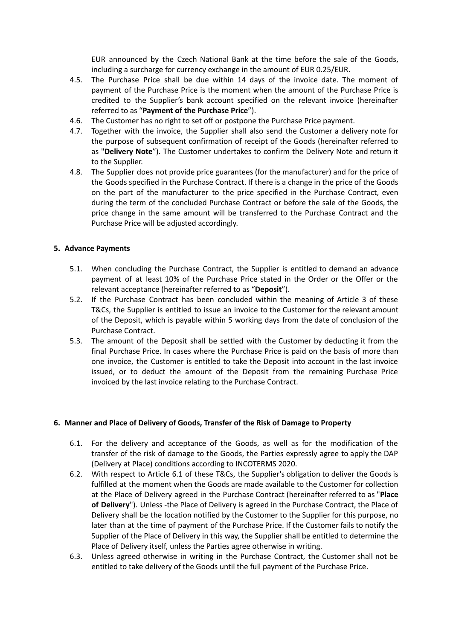EUR announced by the Czech National Bank at the time before the sale of the Goods, including a surcharge for currency exchange in the amount of EUR 0.25/EUR.

- 4.5. The Purchase Price shall be due within 14 days of the invoice date. The moment of payment of the Purchase Price is the moment when the amount of the Purchase Price is credited to the Supplier's bank account specified on the relevant invoice (hereinafter referred to as "**Payment of the Purchase Price**").
- 4.6. The Customer has no right to set off or postpone the Purchase Price payment.
- 4.7. Together with the invoice, the Supplier shall also send the Customer a delivery note for the purpose of subsequent confirmation of receipt of the Goods (hereinafter referred to as "**Delivery Note**"). The Customer undertakes to confirm the Delivery Note and return it to the Supplier.
- 4.8. The Supplier does not provide price guarantees (for the manufacturer) and for the price of the Goods specified in the Purchase Contract. If there is a change in the price of the Goods on the part of the manufacturer to the price specified in the Purchase Contract, even during the term of the concluded Purchase Contract or before the sale of the Goods, the price change in the same amount will be transferred to the Purchase Contract and the Purchase Price will be adjusted accordingly.

#### **5. Advance Payments**

- 5.1. When concluding the Purchase Contract, the Supplier is entitled to demand an advance payment of at least 10% of the Purchase Price stated in the Order or the Offer or the relevant acceptance (hereinafter referred to as "**Deposit**").
- 5.2. If the Purchase Contract has been concluded within the meaning of Article 3 of these T&Cs, the Supplier is entitled to issue an invoice to the Customer for the relevant amount of the Deposit, which is payable within 5 working days from the date of conclusion of the Purchase Contract.
- 5.3. The amount of the Deposit shall be settled with the Customer by deducting it from the final Purchase Price. In cases where the Purchase Price is paid on the basis of more than one invoice, the Customer is entitled to take the Deposit into account in the last invoice issued, or to deduct the amount of the Deposit from the remaining Purchase Price invoiced by the last invoice relating to the Purchase Contract.

#### **6. Manner and Place of Delivery of Goods, Transfer of the Risk of Damage to Property**

- 6.1. For the delivery and acceptance of the Goods, as well as for the modification of the transfer of the risk of damage to the Goods, the Parties expressly agree to apply the DAP (Delivery at Place) conditions according to INCOTERMS 2020.
- 6.2. With respect to Article 6.1 of these T&Cs, the Supplier's obligation to deliver the Goods is fulfilled at the moment when the Goods are made available to the Customer for collection at the Place of Delivery agreed in the Purchase Contract (hereinafter referred to as "**Place of Delivery**"). Unless -the Place of Delivery is agreed in the Purchase Contract, the Place of Delivery shall be the location notified by the Customer to the Supplier for this purpose, no later than at the time of payment of the Purchase Price. If the Customer fails to notify the Supplier of the Place of Delivery in this way, the Supplier shall be entitled to determine the Place of Delivery itself, unless the Parties agree otherwise in writing.
- 6.3. Unless agreed otherwise in writing in the Purchase Contract, the Customer shall not be entitled to take delivery of the Goods until the full payment of the Purchase Price.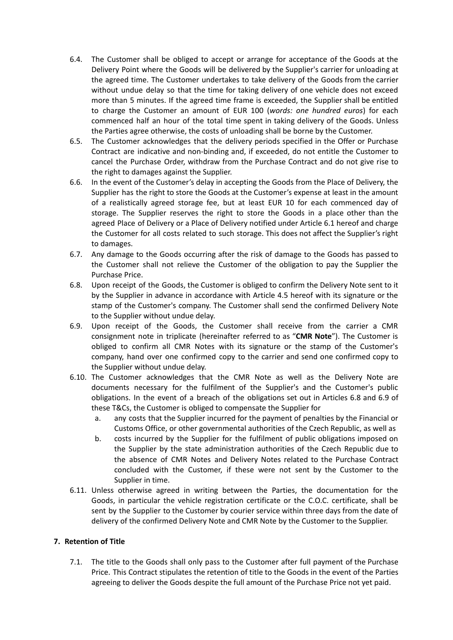- 6.4. The Customer shall be obliged to accept or arrange for acceptance of the Goods at the Delivery Point where the Goods will be delivered by the Supplier's carrier for unloading at the agreed time. The Customer undertakes to take delivery of the Goods from the carrier without undue delay so that the time for taking delivery of one vehicle does not exceed more than 5 minutes. If the agreed time frame is exceeded, the Supplier shall be entitled to charge the Customer an amount of EUR 100 (*words: one hundred euros*) for each commenced half an hour of the total time spent in taking delivery of the Goods. Unless the Parties agree otherwise, the costs of unloading shall be borne by the Customer.
- 6.5. The Customer acknowledges that the delivery periods specified in the Offer or Purchase Contract are indicative and non-binding and, if exceeded, do not entitle the Customer to cancel the Purchase Order, withdraw from the Purchase Contract and do not give rise to the right to damages against the Supplier.
- 6.6. In the event of the Customer's delay in accepting the Goods from the Place of Delivery, the Supplier has the right to store the Goods at the Customer's expense at least in the amount of a realistically agreed storage fee, but at least EUR 10 for each commenced day of storage. The Supplier reserves the right to store the Goods in a place other than the agreed Place of Delivery or a Place of Delivery notified under Article 6.1 hereof and charge the Customer for all costs related to such storage. This does not affect the Supplier's right to damages.
- 6.7. Any damage to the Goods occurring after the risk of damage to the Goods has passed to the Customer shall not relieve the Customer of the obligation to pay the Supplier the Purchase Price.
- 6.8. Upon receipt of the Goods, the Customer is obliged to confirm the Delivery Note sent to it by the Supplier in advance in accordance with Article 4.5 hereof with its signature or the stamp of the Customer's company. The Customer shall send the confirmed Delivery Note to the Supplier without undue delay.
- 6.9. Upon receipt of the Goods, the Customer shall receive from the carrier a CMR consignment note in triplicate (hereinafter referred to as "**CMR Note**"). The Customer is obliged to confirm all CMR Notes with its signature or the stamp of the Customer's company, hand over one confirmed copy to the carrier and send one confirmed copy to the Supplier without undue delay.
- 6.10. The Customer acknowledges that the CMR Note as well as the Delivery Note are documents necessary for the fulfilment of the Supplier's and the Customer's public obligations. In the event of a breach of the obligations set out in Articles 6.8 and 6.9 of these T&Cs, the Customer is obliged to compensate the Supplier for
	- a. any costs that the Supplier incurred for the payment of penalties by the Financial or Customs Office, or other governmental authorities of the Czech Republic, as well as
	- b. costs incurred by the Supplier for the fulfilment of public obligations imposed on the Supplier by the state administration authorities of the Czech Republic due to the absence of CMR Notes and Delivery Notes related to the Purchase Contract concluded with the Customer, if these were not sent by the Customer to the Supplier in time.
- 6.11. Unless otherwise agreed in writing between the Parties, the documentation for the Goods, in particular the vehicle registration certificate or the C.O.C. certificate, shall be sent by the Supplier to the Customer by courier service within three days from the date of delivery of the confirmed Delivery Note and CMR Note by the Customer to the Supplier.

#### **7. Retention of Title**

7.1. The title to the Goods shall only pass to the Customer after full payment of the Purchase Price. This Contract stipulates the retention of title to the Goods in the event of the Parties agreeing to deliver the Goods despite the full amount of the Purchase Price not yet paid.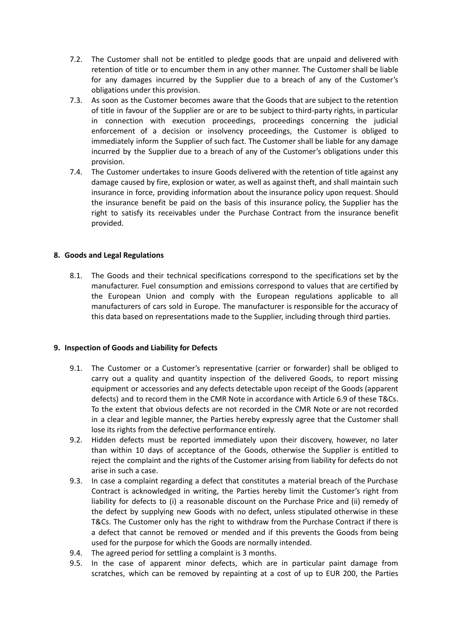- 7.2. The Customer shall not be entitled to pledge goods that are unpaid and delivered with retention of title or to encumber them in any other manner. The Customer shall be liable for any damages incurred by the Supplier due to a breach of any of the Customer's obligations under this provision.
- 7.3. As soon as the Customer becomes aware that the Goods that are subject to the retention of title in favour of the Supplier are or are to be subject to third-party rights, in particular in connection with execution proceedings, proceedings concerning the judicial enforcement of a decision or insolvency proceedings, the Customer is obliged to immediately inform the Supplier of such fact. The Customer shall be liable for any damage incurred by the Supplier due to a breach of any of the Customer's obligations under this provision.
- 7.4. The Customer undertakes to insure Goods delivered with the retention of title against any damage caused by fire, explosion or water, as well as against theft, and shall maintain such insurance in force, providing information about the insurance policy upon request. Should the insurance benefit be paid on the basis of this insurance policy, the Supplier has the right to satisfy its receivables under the Purchase Contract from the insurance benefit provided.

#### **8. Goods and Legal Regulations**

8.1. The Goods and their technical specifications correspond to the specifications set by the manufacturer. Fuel consumption and emissions correspond to values that are certified by the European Union and comply with the European regulations applicable to all manufacturers of cars sold in Europe. The manufacturer is responsible for the accuracy of this data based on representations made to the Supplier, including through third parties.

#### **9. Inspection of Goods and Liability for Defects**

- 9.1. The Customer or a Customer's representative (carrier or forwarder) shall be obliged to carry out a quality and quantity inspection of the delivered Goods, to report missing equipment or accessories and any defects detectable upon receipt of the Goods (apparent defects) and to record them in the CMR Note in accordance with Article 6.9 of these T&Cs. To the extent that obvious defects are not recorded in the CMR Note or are not recorded in a clear and legible manner, the Parties hereby expressly agree that the Customer shall lose its rights from the defective performance entirely.
- 9.2. Hidden defects must be reported immediately upon their discovery, however, no later than within 10 days of acceptance of the Goods, otherwise the Supplier is entitled to reject the complaint and the rights of the Customer arising from liability for defects do not arise in such a case.
- 9.3. In case a complaint regarding a defect that constitutes a material breach of the Purchase Contract is acknowledged in writing, the Parties hereby limit the Customer's right from liability for defects to (i) a reasonable discount on the Purchase Price and (ii) remedy of the defect by supplying new Goods with no defect, unless stipulated otherwise in these T&Cs. The Customer only has the right to withdraw from the Purchase Contract if there is a defect that cannot be removed or mended and if this prevents the Goods from being used for the purpose for which the Goods are normally intended.
- 9.4. The agreed period for settling a complaint is 3 months.
- 9.5. In the case of apparent minor defects, which are in particular paint damage from scratches, which can be removed by repainting at a cost of up to EUR 200, the Parties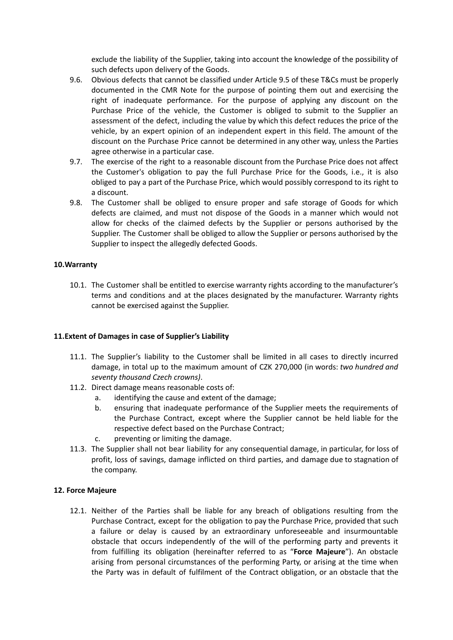exclude the liability of the Supplier, taking into account the knowledge of the possibility of such defects upon delivery of the Goods.

- 9.6. Obvious defects that cannot be classified under Article 9.5 of these T&Cs must be properly documented in the CMR Note for the purpose of pointing them out and exercising the right of inadequate performance. For the purpose of applying any discount on the Purchase Price of the vehicle, the Customer is obliged to submit to the Supplier an assessment of the defect, including the value by which this defect reduces the price of the vehicle, by an expert opinion of an independent expert in this field. The amount of the discount on the Purchase Price cannot be determined in any other way, unless the Parties agree otherwise in a particular case.
- 9.7. The exercise of the right to a reasonable discount from the Purchase Price does not affect the Customer's obligation to pay the full Purchase Price for the Goods, i.e., it is also obliged to pay a part of the Purchase Price, which would possibly correspond to its right to a discount.
- 9.8. The Customer shall be obliged to ensure proper and safe storage of Goods for which defects are claimed, and must not dispose of the Goods in a manner which would not allow for checks of the claimed defects by the Supplier or persons authorised by the Supplier. The Customer shall be obliged to allow the Supplier or persons authorised by the Supplier to inspect the allegedly defected Goods.

#### **10.Warranty**

10.1. The Customer shall be entitled to exercise warranty rights according to the manufacturer's terms and conditions and at the places designated by the manufacturer. Warranty rights cannot be exercised against the Supplier.

#### **11.Extent of Damages in case of Supplier's Liability**

- 11.1. The Supplier's liability to the Customer shall be limited in all cases to directly incurred damage, in total up to the maximum amount of CZK 270,000 (in words: *two hundred and seventy thousand Czech crowns)*.
- 11.2. Direct damage means reasonable costs of:
	- a. identifying the cause and extent of the damage;
	- b. ensuring that inadequate performance of the Supplier meets the requirements of the Purchase Contract, except where the Supplier cannot be held liable for the respective defect based on the Purchase Contract;
	- c. preventing or limiting the damage.
- 11.3. The Supplier shall not bear liability for any consequential damage, in particular, for loss of profit, loss of savings, damage inflicted on third parties, and damage due to stagnation of the company.

#### **12. Force Majeure**

12.1. Neither of the Parties shall be liable for any breach of obligations resulting from the Purchase Contract, except for the obligation to pay the Purchase Price, provided that such a failure or delay is caused by an extraordinary unforeseeable and insurmountable obstacle that occurs independently of the will of the performing party and prevents it from fulfilling its obligation (hereinafter referred to as "**Force Majeure**"). An obstacle arising from personal circumstances of the performing Party, or arising at the time when the Party was in default of fulfilment of the Contract obligation, or an obstacle that the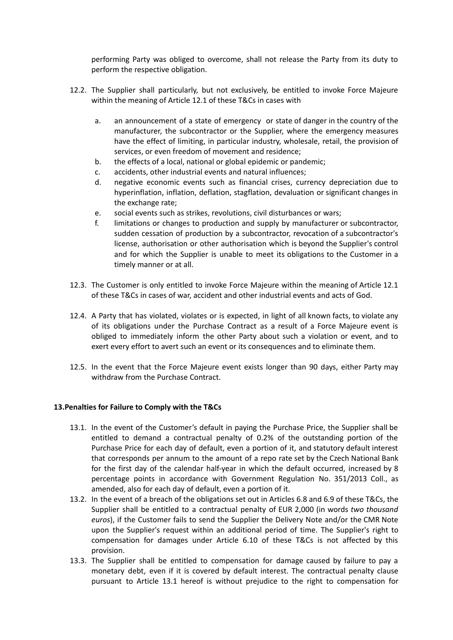performing Party was obliged to overcome, shall not release the Party from its duty to perform the respective obligation.

- 12.2. The Supplier shall particularly, but not exclusively, be entitled to invoke Force Majeure within the meaning of Article 12.1 of these T&Cs in cases with
	- a. an announcement of a state of emergency or state of danger in the country of the manufacturer, the subcontractor or the Supplier, where the emergency measures have the effect of limiting, in particular industry, wholesale, retail, the provision of services, or even freedom of movement and residence;
	- b. the effects of a local, national or global epidemic or pandemic;
	- c. accidents, other industrial events and natural influences;
	- d. negative economic events such as financial crises, currency depreciation due to hyperinflation, inflation, deflation, stagflation, devaluation or significant changes in the exchange rate;
	- e. social events such as strikes, revolutions, civil disturbances or wars;
	- f. limitations or changes to production and supply by manufacturer or subcontractor, sudden cessation of production by a subcontractor, revocation of a subcontractor's license, authorisation or other authorisation which is beyond the Supplier's control and for which the Supplier is unable to meet its obligations to the Customer in a timely manner or at all.
- 12.3. The Customer is only entitled to invoke Force Majeure within the meaning of Article 12.1 of these T&Cs in cases of war, accident and other industrial events and acts of God.
- 12.4. A Party that has violated, violates or is expected, in light of all known facts, to violate any of its obligations under the Purchase Contract as a result of a Force Majeure event is obliged to immediately inform the other Party about such a violation or event, and to exert every effort to avert such an event or its consequences and to eliminate them.
- 12.5. In the event that the Force Majeure event exists longer than 90 days, either Party may withdraw from the Purchase Contract.

#### **13.Penalties for Failure to Comply with the T&Cs**

- 13.1. In the event of the Customer's default in paying the Purchase Price, the Supplier shall be entitled to demand a contractual penalty of 0.2% of the outstanding portion of the Purchase Price for each day of default, even a portion of it, and statutory default interest that corresponds per annum to the amount of a repo rate set by the Czech National Bank for the first day of the calendar half-year in which the default occurred, increased by 8 percentage points in accordance with Government Regulation No. 351/2013 Coll., as amended, also for each day of default, even a portion of it.
- 13.2. In the event of a breach of the obligations set out in Articles 6.8 and 6.9 of these T&Cs, the Supplier shall be entitled to a contractual penalty of EUR 2,000 (in words *two thousand euros*), if the Customer fails to send the Supplier the Delivery Note and/or the CMR Note upon the Supplier's request within an additional period of time. The Supplier's right to compensation for damages under Article 6.10 of these T&Cs is not affected by this provision.
- 13.3. The Supplier shall be entitled to compensation for damage caused by failure to pay a monetary debt, even if it is covered by default interest. The contractual penalty clause pursuant to Article 13.1 hereof is without prejudice to the right to compensation for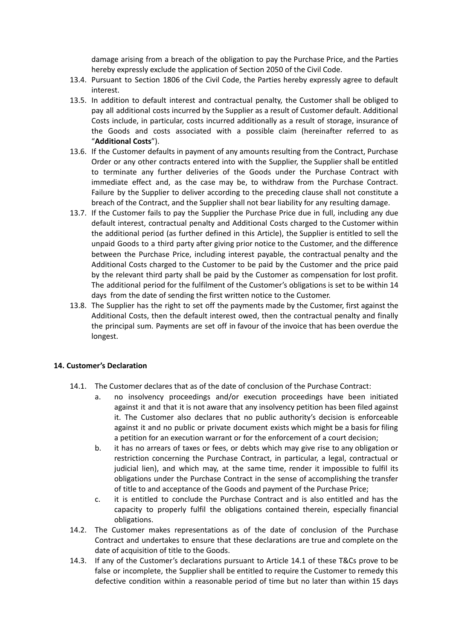damage arising from a breach of the obligation to pay the Purchase Price, and the Parties hereby expressly exclude the application of Section 2050 of the Civil Code.

- 13.4. Pursuant to Section 1806 of the Civil Code, the Parties hereby expressly agree to default interest.
- 13.5. In addition to default interest and contractual penalty, the Customer shall be obliged to pay all additional costs incurred by the Supplier as a result of Customer default. Additional Costs include, in particular, costs incurred additionally as a result of storage, insurance of the Goods and costs associated with a possible claim (hereinafter referred to as "**Additional Costs**").
- 13.6. If the Customer defaults in payment of any amounts resulting from the Contract, Purchase Order or any other contracts entered into with the Supplier, the Supplier shall be entitled to terminate any further deliveries of the Goods under the Purchase Contract with immediate effect and, as the case may be, to withdraw from the Purchase Contract. Failure by the Supplier to deliver according to the preceding clause shall not constitute a breach of the Contract, and the Supplier shall not bear liability for any resulting damage.
- 13.7. If the Customer fails to pay the Supplier the Purchase Price due in full, including any due default interest, contractual penalty and Additional Costs charged to the Customer within the additional period (as further defined in this Article), the Supplier is entitled to sell the unpaid Goods to a third party after giving prior notice to the Customer, and the difference between the Purchase Price, including interest payable, the contractual penalty and the Additional Costs charged to the Customer to be paid by the Customer and the price paid by the relevant third party shall be paid by the Customer as compensation for lost profit. The additional period for the fulfilment of the Customer's obligations is set to be within 14 days from the date of sending the first written notice to the Customer.
- 13.8. The Supplier has the right to set off the payments made by the Customer, first against the Additional Costs, then the default interest owed, then the contractual penalty and finally the principal sum. Payments are set off in favour of the invoice that has been overdue the longest.

#### **14. Customer's Declaration**

- 14.1. The Customer declares that as of the date of conclusion of the Purchase Contract:
	- a. no insolvency proceedings and/or execution proceedings have been initiated against it and that it is not aware that any insolvency petition has been filed against it. The Customer also declares that no public authority's decision is enforceable against it and no public or private document exists which might be a basis for filing a petition for an execution warrant or for the enforcement of a court decision;
	- b. it has no arrears of taxes or fees, or debts which may give rise to any obligation or restriction concerning the Purchase Contract, in particular, a legal, contractual or judicial lien), and which may, at the same time, render it impossible to fulfil its obligations under the Purchase Contract in the sense of accomplishing the transfer of title to and acceptance of the Goods and payment of the Purchase Price;
	- c. it is entitled to conclude the Purchase Contract and is also entitled and has the capacity to properly fulfil the obligations contained therein, especially financial obligations.
- 14.2. The Customer makes representations as of the date of conclusion of the Purchase Contract and undertakes to ensure that these declarations are true and complete on the date of acquisition of title to the Goods.
- 14.3. If any of the Customer's declarations pursuant to Article 14.1 of these T&Cs prove to be false or incomplete, the Supplier shall be entitled to require the Customer to remedy this defective condition within a reasonable period of time but no later than within 15 days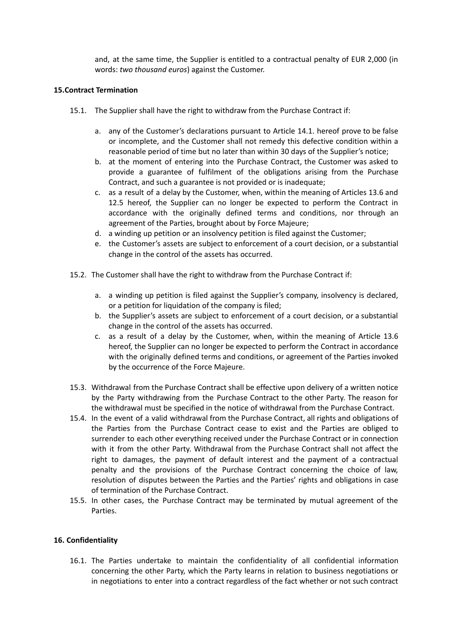and, at the same time, the Supplier is entitled to a contractual penalty of EUR 2,000 (in words: *two thousand euros*) against the Customer.

#### **15.Contract Termination**

- 15.1. The Supplier shall have the right to withdraw from the Purchase Contract if:
	- a. any of the Customer's declarations pursuant to Article 14.1. hereof prove to be false or incomplete, and the Customer shall not remedy this defective condition within a reasonable period of time but no later than within 30 days of the Supplier's notice;
	- b. at the moment of entering into the Purchase Contract, the Customer was asked to provide a guarantee of fulfilment of the obligations arising from the Purchase Contract, and such a guarantee is not provided or is inadequate;
	- c. as a result of a delay by the Customer, when, within the meaning of Articles 13.6 and 12.5 hereof, the Supplier can no longer be expected to perform the Contract in accordance with the originally defined terms and conditions, nor through an agreement of the Parties, brought about by Force Majeure;
	- d. a winding up petition or an insolvency petition is filed against the Customer;
	- e. the Customer's assets are subject to enforcement of a court decision, or a substantial change in the control of the assets has occurred.
- 15.2. The Customer shall have the right to withdraw from the Purchase Contract if:
	- a. a winding up petition is filed against the Supplier's company, insolvency is declared, or a petition for liquidation of the company is filed;
	- b. the Supplier's assets are subject to enforcement of a court decision, or a substantial change in the control of the assets has occurred.
	- c. as a result of a delay by the Customer, when, within the meaning of Article 13.6 hereof, the Supplier can no longer be expected to perform the Contract in accordance with the originally defined terms and conditions, or agreement of the Parties invoked by the occurrence of the Force Majeure.
- 15.3. Withdrawal from the Purchase Contract shall be effective upon delivery of a written notice by the Party withdrawing from the Purchase Contract to the other Party. The reason for the withdrawal must be specified in the notice of withdrawal from the Purchase Contract.
- 15.4. In the event of a valid withdrawal from the Purchase Contract, all rights and obligations of the Parties from the Purchase Contract cease to exist and the Parties are obliged to surrender to each other everything received under the Purchase Contract or in connection with it from the other Party. Withdrawal from the Purchase Contract shall not affect the right to damages, the payment of default interest and the payment of a contractual penalty and the provisions of the Purchase Contract concerning the choice of law, resolution of disputes between the Parties and the Parties' rights and obligations in case of termination of the Purchase Contract.
- 15.5. In other cases, the Purchase Contract may be terminated by mutual agreement of the Parties.

#### **16. Confidentiality**

16.1. The Parties undertake to maintain the confidentiality of all confidential information concerning the other Party, which the Party learns in relation to business negotiations or in negotiations to enter into a contract regardless of the fact whether or not such contract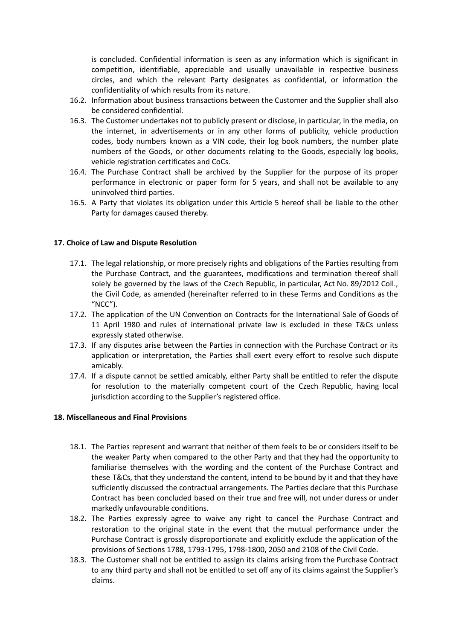is concluded. Confidential information is seen as any information which is significant in competition, identifiable, appreciable and usually unavailable in respective business circles, and which the relevant Party designates as confidential, or information the confidentiality of which results from its nature.

- 16.2. Information about business transactions between the Customer and the Supplier shall also be considered confidential.
- 16.3. The Customer undertakes not to publicly present or disclose, in particular, in the media, on the internet, in advertisements or in any other forms of publicity, vehicle production codes, body numbers known as a VIN code, their log book numbers, the number plate numbers of the Goods, or other documents relating to the Goods, especially log books, vehicle registration certificates and CoCs.
- 16.4. The Purchase Contract shall be archived by the Supplier for the purpose of its proper performance in electronic or paper form for 5 years, and shall not be available to any uninvolved third parties.
- 16.5. A Party that violates its obligation under this Article 5 hereof shall be liable to the other Party for damages caused thereby.

#### **17. Choice of Law and Dispute Resolution**

- 17.1. The legal relationship, or more precisely rights and obligations of the Parties resulting from the Purchase Contract, and the guarantees, modifications and termination thereof shall solely be governed by the laws of the Czech Republic, in particular, Act No. 89/2012 Coll., the Civil Code, as amended (hereinafter referred to in these Terms and Conditions as the "NCC").
- 17.2. The application of the UN Convention on Contracts for the International Sale of Goods of 11 April 1980 and rules of international private law is excluded in these T&Cs unless expressly stated otherwise.
- 17.3. If any disputes arise between the Parties in connection with the Purchase Contract or its application or interpretation, the Parties shall exert every effort to resolve such dispute amicably.
- 17.4. If a dispute cannot be settled amicably, either Party shall be entitled to refer the dispute for resolution to the materially competent court of the Czech Republic, having local jurisdiction according to the Supplier's registered office.

#### **18. Miscellaneous and Final Provisions**

- 18.1. The Parties represent and warrant that neither of them feels to be or considers itself to be the weaker Party when compared to the other Party and that they had the opportunity to familiarise themselves with the wording and the content of the Purchase Contract and these T&Cs, that they understand the content, intend to be bound by it and that they have sufficiently discussed the contractual arrangements. The Parties declare that this Purchase Contract has been concluded based on their true and free will, not under duress or under markedly unfavourable conditions.
- 18.2. The Parties expressly agree to waive any right to cancel the Purchase Contract and restoration to the original state in the event that the mutual performance under the Purchase Contract is grossly disproportionate and explicitly exclude the application of the provisions of Sections 1788, 1793-1795, 1798-1800, 2050 and 2108 of the Civil Code.
- 18.3. The Customer shall not be entitled to assign its claims arising from the Purchase Contract to any third party and shall not be entitled to set off any of its claims against the Supplier's claims.